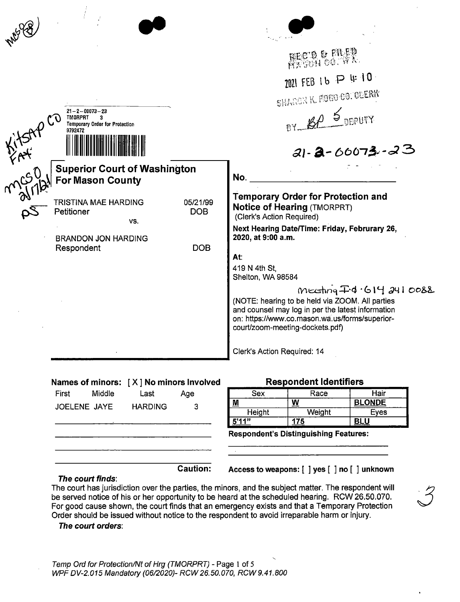| MU U         |                                                                                                   |                 |                                                                                                                                                                                                                                |  |
|--------------|---------------------------------------------------------------------------------------------------|-----------------|--------------------------------------------------------------------------------------------------------------------------------------------------------------------------------------------------------------------------------|--|
|              |                                                                                                   | RECTO & FILED   |                                                                                                                                                                                                                                |  |
|              |                                                                                                   |                 | 2021 FEB 16 P 4 10                                                                                                                                                                                                             |  |
|              |                                                                                                   |                 | SHARON K. FOGO CO. OCERY                                                                                                                                                                                                       |  |
|              | $21 - 2 - 00073 - 23$<br><b>TMORPRT</b><br>3.<br><b>Temporary Order for Protection</b><br>9792472 |                 | BY BP 5 DEPUTY                                                                                                                                                                                                                 |  |
| NYSAY<br>MAY |                                                                                                   |                 | $21 - 2 - 60073 - 23$                                                                                                                                                                                                          |  |
|              | <b>Superior Court of Washington</b><br><b>For Mason County</b>                                    |                 | No.                                                                                                                                                                                                                            |  |
|              | TRISTINA MAE HARDING<br>Petitioner                                                                | 05/21/99<br>DOB | <b>Temporary Order for Protection and</b><br><b>Notice of Hearing (TMORPRT)</b><br>(Clerk's Action Required)                                                                                                                   |  |
|              | VS.<br><b>BRANDON JON HARDING</b>                                                                 |                 | Next Hearing Date/Time: Friday, Februrary 26,<br>2020, at 9:00 a.m.                                                                                                                                                            |  |
|              | Respondent                                                                                        | <b>DOB</b>      | At:                                                                                                                                                                                                                            |  |
|              |                                                                                                   |                 | 419 N 4th St,<br>Shelton, WA 98584                                                                                                                                                                                             |  |
|              |                                                                                                   |                 | $M = \frac{1}{4}d \cdot 61420088$<br>(NOTE: hearing to be held via ZOOM. All parties<br>and counsel may log in per the latest information<br>on: https://www.co.mason.wa.us/forms/superior-<br>court/zoom-meeting-dockets.pdf) |  |
|              |                                                                                                   |                 | Clerk's Action Required: 14                                                                                                                                                                                                    |  |
|              |                                                                                                   |                 |                                                                                                                                                                                                                                |  |

# **Names of minors:** [ **X] No minors Involved**

| First | Middle              | Last           | Age             |
|-------|---------------------|----------------|-----------------|
|       | <b>JOELENE JAYE</b> | <b>HARDING</b> | 3               |
|       |                     |                |                 |
|       |                     |                |                 |
|       |                     |                |                 |
|       |                     |                | <b>Caution:</b> |

### **Respondent Identifiers**

| Sex    | Race     | Hair          |
|--------|----------|---------------|
| $M$    | <u>พ</u> | <b>BLONDE</b> |
| Height | Weight   | Eves          |
| 5'11'' | 175      |               |

**Respondent's Distinguishing Features:** 

### **Access to weapons:** [ ] **yes** [ ] **no** [ ] **unknown**

**The court finds:** 

 $\frac{1}{2} \int_{\mathbb{R}^2} \frac{1}{\sqrt{2}} \, \mathrm{d} x$ 

The court has jurisdiction over the parties, the minors, and the subject matter. The respondent will *3.*  be served notice of his or her opportunity to be heard at the scheduled hearing. RCW 26.50.070. For good cause shown, the court finds that an emergency exists and that a Temporary Protection Order should be issued without notice to the respondent to avoid irreparable harm or injury.

#### **The court orders:**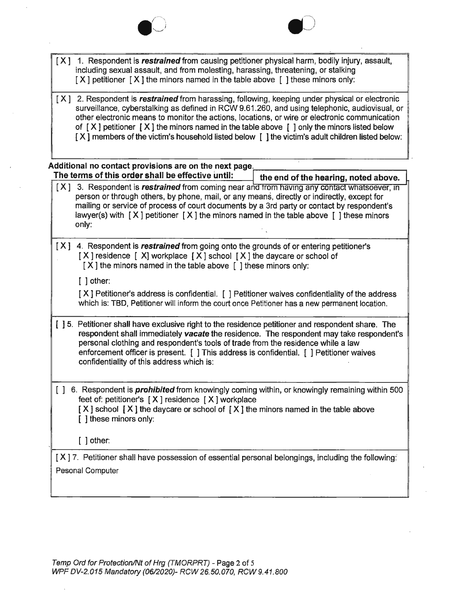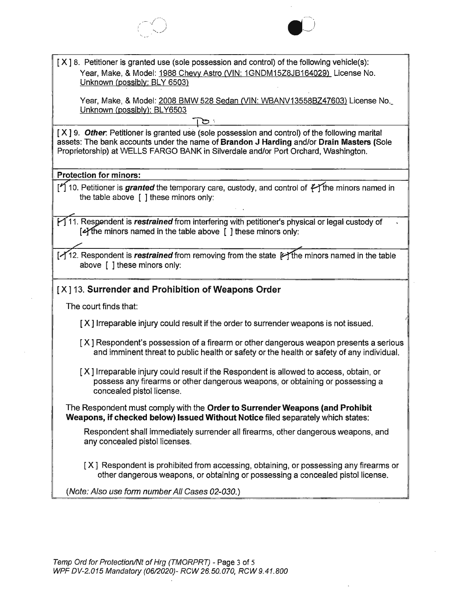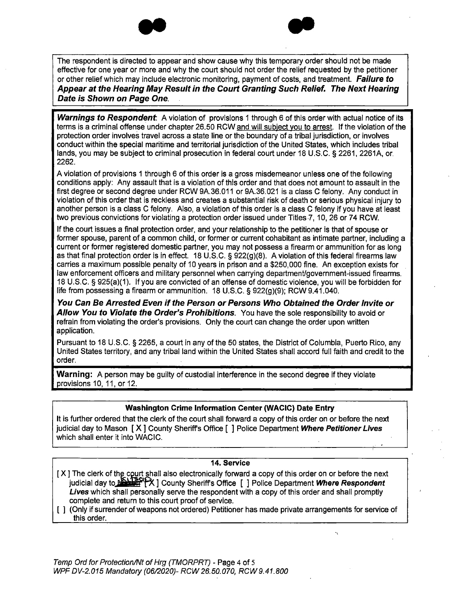



The respondent is directed to appear and show cause why this temporary order should not be made effective for one year or more and why the court should not order the relief requested by the petitioner or other relief which may include electronic monitoring, payment of costs, and treatment. **Failure to Appear at the Hearing May Result in the Court Granting Such Relief. The Next Hearing Date is Shown on Page One.** 

**Warnings to Respondent**. A violation of provisions 1 through 6 of this order with actual notice of its terms is a criminal offense under chapter 26.50 RCW and will subject you to arrest. If the violation of the protection order involves travel across a state line or the boundary of a tribal jurisdiction, or involves conduct within the special maritime and territorial jurisdiction of the United States, which includes tribal lands, you may be subject to criminal prosecution in federal court under 18 U.S.C. § 2261, 2261A, or. 2262.

A violation of provisions 1 through 6 of this order is a gross misdemeanor unless one of the following conditions apply: Any assault that is a violation of this order and that does not amount to assault in the first degree or second degree under RCW 9A.36.011 or 9A.36.021 is a class C felony. Any conduct in violation of this order that is reckless and creates a substantial risk of death or serious physical injury to another person is a class C felony. Also, a violation of this order is a class C felony if you have at least two previous convictions for violating a protection order issued under Titles 7, 10, 26 or 74 RCW.

If the court issues a final protection order, and your relationship to the petitioner is that of spouse or former spouse, parent of a common child, or former or current cohabitant as intimate partner, including a current or former registered domestic partner, you may not possess a firearm or ammunition for as long as that final protection order is in effect. 18 U.S.C. § 922(9)(8). A violation of this federal firearms law carries a maximum possible penalty of 10 years in prison and a \$250,000 fine . An exception exists for law enforcement officers and military personnel when carrying department/government-issued firearms. 18 U.S.C. § 925(a)(1 ). If you are convicted of an offense of domestic violence, you will be forbidden for life from possessing a firearm or ammunition. 18 U.S.C. § 922(g)(9); RCW 9.41.040.

**You Can Be Arrested Even if the Person or Persons Who Obtained the Order Invite or Allow You to Violate the Order's Prohibitions .** You have the sole responsibility to avoid or refrain from violating the order's provisions. Only the court can change the order upon written application.

Pursuant to 18 U.S.C. § 2265, a court in any of the 50 states, the District of Columbia, Puerto Rico, any United States territory, and any tribal land within the United States shall accord full faith and credit to the order.

**Warning:** A person may be guilty of custodial interference in the second degree if they violate provisions 10, 11, or 12.

### **Washington Crime Information Center (WACIC) Date Entry**

It is further ordered that the clerk of the court shall forward a copy of this order on or before the next judicial day to Mason [ **X** ] County Sheriffs Office [ ] Police Department **Where Petitioner Lives**  which shall enter it into WACIC.

#### **14. Service**

- [X] The clerk of the court shall also electronically forward a copy of this order on or before the next judicial day to **RESPERT 12 County Sheriffs Office** [ ] Police Department **Where Respondent Lives** which shall personally serve the respondent with a copy of this order and shall promptly complete and return to this court proof of service.
- [ ] (Only if surrender of weapons not ordered) Petitioner has made private arrangements for service of this order.